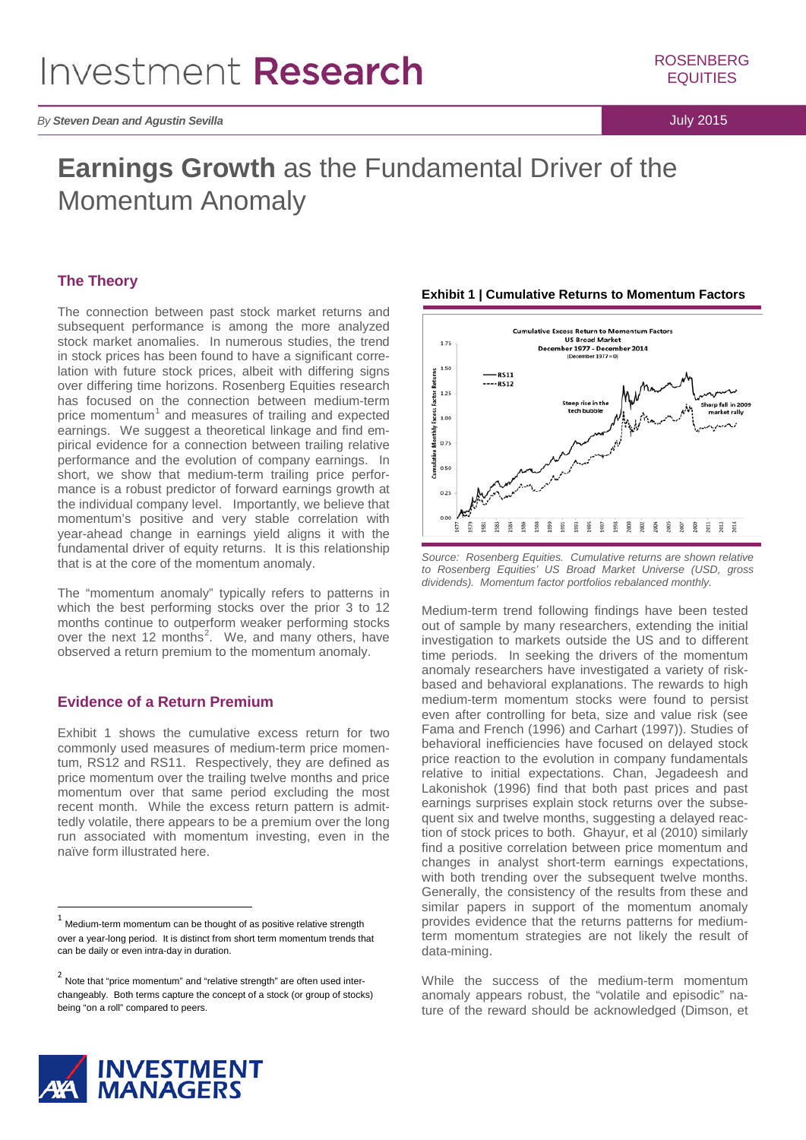# **Earnings Growth** as the Fundamental Driver of the Momentum Anomaly

## **The Theory**

The connection between past stock market returns and subsequent performance is among the more analyzed stock market anomalies. In numerous studies, the trend in stock prices has been found to have a significant correlation with future stock prices, albeit with differing signs over differing time horizons. Rosenberg Equities research has focused on the connection between medium-term price momentum $1$  and measures of trailing and expected earnings. We suggest a theoretical linkage and find empirical evidence for a connection between trailing relative performance and the evolution of company earnings. In short, we show that medium-term trailing price performance is a robust predictor of forward earnings growth at the individual company level. Importantly, we believe that momentum's positive and very stable correlation with year-ahead change in earnings yield aligns it with the fundamental driver of equity returns. It is this relationship that is at the core of the momentum anomaly.

The "momentum anomaly" typically refers to patterns in which the best performing stocks over the prior 3 to 12 months continue to outperform weaker performing stocks over the next 1[2](#page-0-1) months<sup>2</sup>. We, and many others, have observed a return premium to the momentum anomaly.

## **Evidence of a Return Premium**

Exhibit 1 shows the cumulative excess return for two commonly used measures of medium-term price momentum, RS12 and RS11. Respectively, they are defined as price momentum over the trailing twelve months and price momentum over that same period excluding the most recent month. While the excess return pattern is admittedly volatile, there appears to be a premium over the long run associated with momentum investing, even in the naïve form illustrated here.



#### **Exhibit 1 | Cumulative Returns to Momentum Factors**

*Source: Rosenberg Equities. Cumulative returns are shown relative to Rosenberg Equities' US Broad Market Universe (USD, gross dividends). Momentum factor portfolios rebalanced monthly.* 

Medium-term trend following findings have been tested out of sample by many researchers, extending the initial investigation to markets outside the US and to different time periods. In seeking the drivers of the momentum anomaly researchers have investigated a variety of riskbased and behavioral explanations. The rewards to high medium-term momentum stocks were found to persist even after controlling for beta, size and value risk (see Fama and French (1996) and Carhart (1997)). Studies of behavioral inefficiencies have focused on delayed stock price reaction to the evolution in company fundamentals relative to initial expectations. Chan, Jegadeesh and Lakonishok (1996) find that both past prices and past earnings surprises explain stock returns over the subsequent six and twelve months, suggesting a delayed reaction of stock prices to both. Ghayur, et al (2010) similarly find a positive correlation between price momentum and changes in analyst short-term earnings expectations, with both trending over the subsequent twelve months. Generally, the consistency of the results from these and similar papers in support of the momentum anomaly provides evidence that the returns patterns for mediumterm momentum strategies are not likely the result of data-mining.

While the success of the medium-term momentum anomaly appears robust, the "volatile and episodic" nature of the reward should be acknowledged (Dimson, et



<span id="page-0-0"></span><sup>1</sup> Medium-term momentum can be thought of as positive relative strength over a year-long period. It is distinct from short term momentum trends that can be daily or even intra-day in duration.

<span id="page-0-1"></span> $2$  Note that "price momentum" and "relative strength" are often used interchangeably. Both terms capture the concept of a stock (or group of stocks) being "on a roll" compared to peers.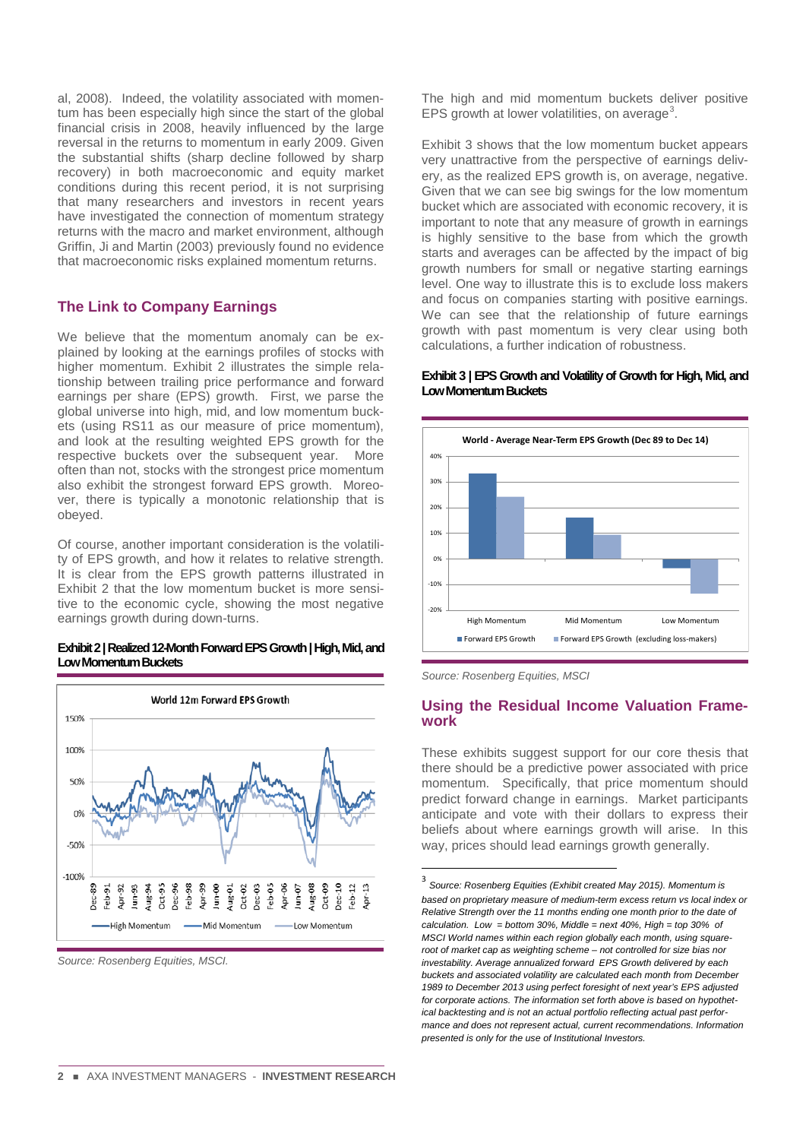al, 2008). Indeed, the volatility associated with momentum has been especially high since the start of the global financial crisis in 2008, heavily influenced by the large reversal in the returns to momentum in early 2009. Given the substantial shifts (sharp decline followed by sharp recovery) in both macroeconomic and equity market conditions during this recent period, it is not surprising that many researchers and investors in recent years have investigated the connection of momentum strategy returns with the macro and market environment, although Griffin, Ji and Martin (2003) previously found no evidence that macroeconomic risks explained momentum returns.

## **The Link to Company Earnings**

We believe that the momentum anomaly can be explained by looking at the earnings profiles of stocks with higher momentum. Exhibit 2 illustrates the simple relationship between trailing price performance and forward earnings per share (EPS) growth. First, we parse the global universe into high, mid, and low momentum buckets (using RS11 as our measure of price momentum), and look at the resulting weighted EPS growth for the respective buckets over the subsequent year. More often than not, stocks with the strongest price momentum also exhibit the strongest forward EPS growth. Moreover, there is typically a monotonic relationship that is obeyed.

Of course, another important consideration is the volatility of EPS growth, and how it relates to relative strength. It is clear from the EPS growth patterns illustrated in Exhibit 2 that the low momentum bucket is more sensitive to the economic cycle, showing the most negative earnings growth during down-turns.

#### **Exhibit 2 | Realized 12-Month Forward EPS Growth | High, Mid, and Low Momentum Buckets**



<span id="page-1-0"></span>*Source: Rosenberg Equities, MSCI.*

The high and mid momentum buckets deliver positive EPS growth at lower volatilities, on average<sup>[3](#page-1-0)</sup>.

Exhibit 3 shows that the low momentum bucket appears very unattractive from the perspective of earnings delivery, as the realized EPS growth is, on average, negative. Given that we can see big swings for the low momentum bucket which are associated with economic recovery, it is important to note that any measure of growth in earnings is highly sensitive to the base from which the growth starts and averages can be affected by the impact of big growth numbers for small or negative starting earnings level. One way to illustrate this is to exclude loss makers and focus on companies starting with positive earnings. We can see that the relationship of future earnings growth with past momentum is very clear using both calculations, a further indication of robustness.



#### **Exhibit 3 | EPS Growth and Volatility of Growth for High, Mid, and Low Momentum Buckets**

*Source: Rosenberg Equities, MSCI*

## **Using the Residual Income Valuation Framework**

These exhibits suggest support for our core thesis that there should be a predictive power associated with price momentum. Specifically, that price momentum should predict forward change in earnings. Market participants anticipate and vote with their dollars to express their beliefs about where earnings growth will arise. In this way, prices should lead earnings growth generally.

<sup>3</sup> *Source: Rosenberg Equities (Exhibit created May 2015). Momentum is based on proprietary measure of medium-term excess return vs local index or Relative Strength over the 11 months ending one month prior to the date of*   $calc$ alculation. Low = bottom 30%, Middle = next 40%, High = top 30% of *MSCI World names within each region globally each month, using squareroot of market cap as weighting scheme – not controlled for size bias nor investability. Average annualized forward EPS Growth delivered by each buckets and associated volatility are calculated each month from December 1989 to December 2013 using perfect foresight of next year's EPS adjusted for corporate actions. The information set forth above is based on hypothetical backtesting and is not an actual portfolio reflecting actual past performance and does not represent actual, current recommendations. Information presented is only for the use of Institutional Investors.*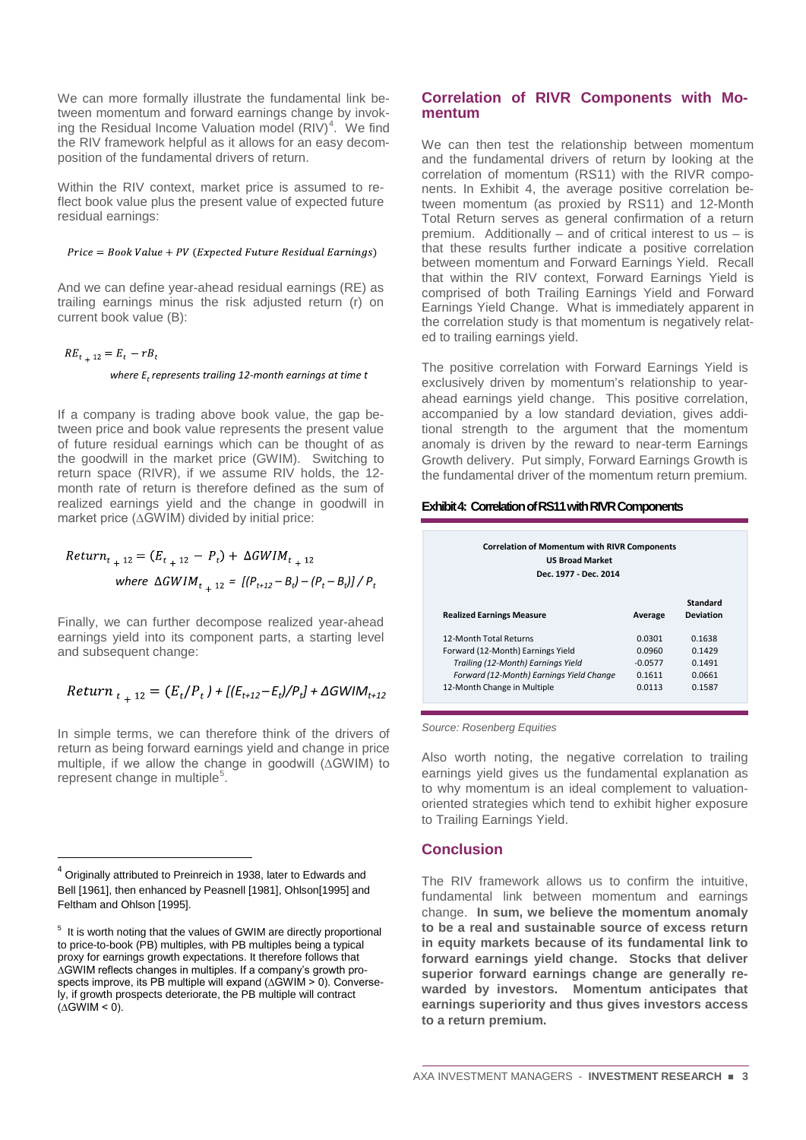We can more formally illustrate the fundamental link between momentum and forward earnings change by invoking the Residual Income Valuation model  $(RIV)^4$  $(RIV)^4$ . We find the RIV framework helpful as it allows for an easy decomposition of the fundamental drivers of return.

Within the RIV context, market price is assumed to reflect book value plus the present value of expected future residual earnings:

 $Price = Book Value + PV (Expected Future Residual Earning)$ 

And we can define year-ahead residual earnings (RE) as trailing earnings minus the risk adjusted return (r) on current book value (B):

$$
RE_{t+12} = E_t - rB_t
$$
  
where  $E_t$  represents trailing 12-month earnings at time t

If a company is trading above book value, the gap between price and book value represents the present value of future residual earnings which can be thought of as the goodwill in the market price (GWIM). Switching to return space (RIVR), if we assume RIV holds, the 12 month rate of return is therefore defined as the sum of realized earnings yield and the change in goodwill in market price (∆GWIM) divided by initial price:

*Return*<sub>t<sub>+</sub>12</sub> = 
$$
(E_{t_+12} - P_t) + \Delta G W I M_{t_+12}
$$
  
\n*where ΔG W I M*<sub>t<sub>+</sub>12</sub> =  $[(P_{t+12} - B_t) - (P_t - B_t)] / P_t$ 

Finally, we can further decompose realized year-ahead earnings yield into its component parts, a starting level and subsequent change:

$$
Return_{t_{+}12} = (E_t/P_t) + [(E_{t+12} - E_t)/P_t] + \Delta GWIM_{t+12}
$$

In simple terms, we can therefore think of the drivers of return as being forward earnings yield and change in price multiple, if we allow the change in goodwill (∆GWIM) to represent change in multiple<sup>[5](#page-2-1)</sup>.

## **Correlation of RIVR Components with Momentum**

We can then test the relationship between momentum and the fundamental drivers of return by looking at the correlation of momentum (RS11) with the RIVR components. In Exhibit 4, the average positive correlation between momentum (as proxied by RS11) and 12-Month Total Return serves as general confirmation of a return premium. Additionally – and of critical interest to us – is that these results further indicate a positive correlation between momentum and Forward Earnings Yield. Recall that within the RIV context, Forward Earnings Yield is comprised of both Trailing Earnings Yield and Forward Earnings Yield Change. What is immediately apparent in the correlation study is that momentum is negatively related to trailing earnings yield.

The positive correlation with Forward Earnings Yield is exclusively driven by momentum's relationship to yearahead earnings yield change. This positive correlation, accompanied by a low standard deviation, gives additional strength to the argument that the momentum anomaly is driven by the reward to near-term Earnings Growth delivery. Put simply, Forward Earnings Growth is the fundamental driver of the momentum return premium.

### **Exhibit 4: Correlation of RS11 with RIVR Components**

| <b>US Broad Market</b><br>Dec. 1977 - Dec. 2014 |           |                                     |
|-------------------------------------------------|-----------|-------------------------------------|
| <b>Realized Earnings Measure</b>                | Average   | <b>Standard</b><br><b>Deviation</b> |
| 12-Month Total Returns                          | 0.0301    | 0.1638                              |
| Forward (12-Month) Earnings Yield               | 0.0960    | 0.1429                              |
| Trailing (12-Month) Earnings Yield              | $-0.0577$ | 0.1491                              |
| Forward (12-Month) Earnings Yield Change        | 0.1611    | 0.0661                              |
| 12-Month Change in Multiple                     | 0.0113    | 0.1587                              |

*Source: Rosenberg Equities*

Also worth noting, the negative correlation to trailing earnings yield gives us the fundamental explanation as to why momentum is an ideal complement to valuationoriented strategies which tend to exhibit higher exposure to Trailing Earnings Yield.

## **Conclusion**

The RIV framework allows us to confirm the intuitive, fundamental link between momentum and earnings change. **In sum, we believe the momentum anomaly to be a real and sustainable source of excess return in equity markets because of its fundamental link to forward earnings yield change. Stocks that deliver superior forward earnings change are generally rewarded by investors. Momentum anticipates that earnings superiority and thus gives investors access to a return premium.**

<span id="page-2-0"></span><sup>4</sup> Originally attributed to Preinreich in 1938, later to Edwards and Bell [1961], then enhanced by Peasnell [1981], Ohlson[1995] and Feltham and Ohlson [1995].

<span id="page-2-1"></span><sup>&</sup>lt;sup>5</sup> It is worth noting that the values of GWIM are directly proportional to price-to-book (PB) multiples, with PB multiples being a typical proxy for earnings growth expectations. It therefore follows that ∆GWIM reflects changes in multiples. If a company's growth prospects improve, its PB multiple will expand (∆GWIM > 0). Conversely, if growth prospects deteriorate, the PB multiple will contract (∆GWIM < 0).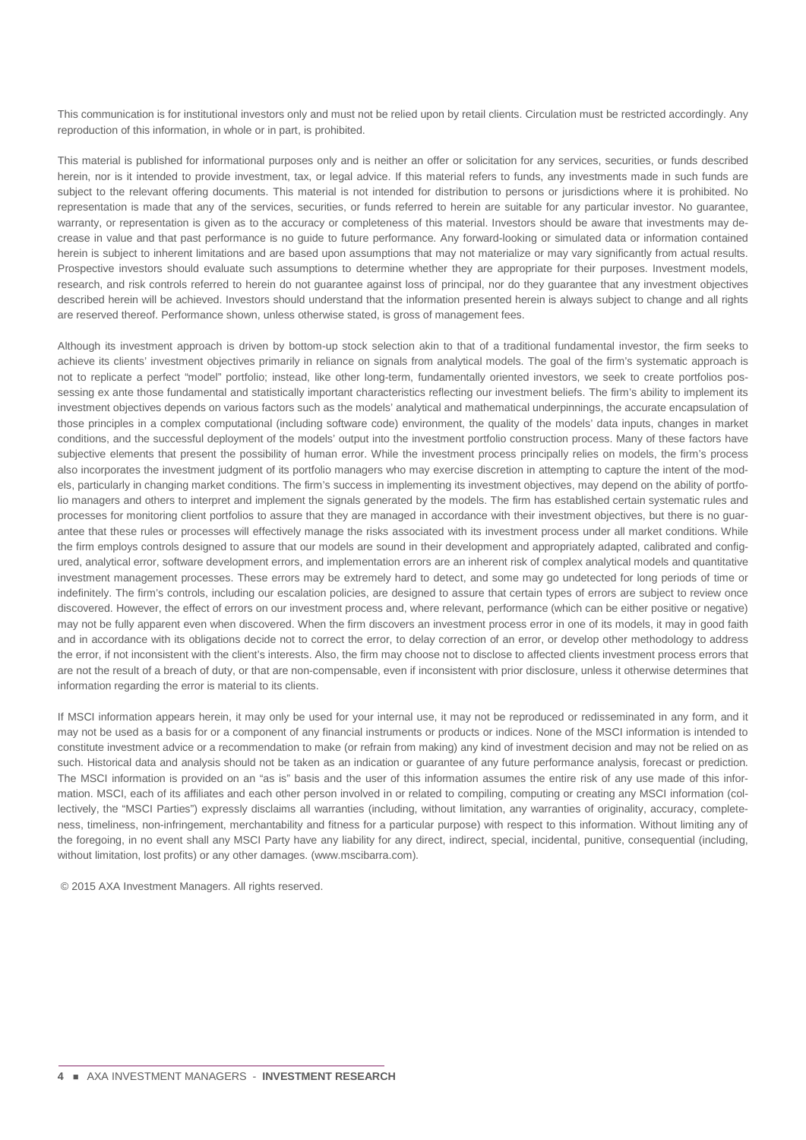This communication is for institutional investors only and must not be relied upon by retail clients. Circulation must be restricted accordingly. Any reproduction of this information, in whole or in part, is prohibited.

This material is published for informational purposes only and is neither an offer or solicitation for any services, securities, or funds described herein, nor is it intended to provide investment, tax, or legal advice. If this material refers to funds, any investments made in such funds are subject to the relevant offering documents. This material is not intended for distribution to persons or jurisdictions where it is prohibited. No representation is made that any of the services, securities, or funds referred to herein are suitable for any particular investor. No guarantee, warranty, or representation is given as to the accuracy or completeness of this material. Investors should be aware that investments may decrease in value and that past performance is no guide to future performance. Any forward-looking or simulated data or information contained herein is subject to inherent limitations and are based upon assumptions that may not materialize or may vary significantly from actual results. Prospective investors should evaluate such assumptions to determine whether they are appropriate for their purposes. Investment models, research, and risk controls referred to herein do not guarantee against loss of principal, nor do they guarantee that any investment objectives described herein will be achieved. Investors should understand that the information presented herein is always subject to change and all rights are reserved thereof. Performance shown, unless otherwise stated, is gross of management fees.

Although its investment approach is driven by bottom-up stock selection akin to that of a traditional fundamental investor, the firm seeks to achieve its clients' investment objectives primarily in reliance on signals from analytical models. The goal of the firm's systematic approach is not to replicate a perfect "model" portfolio; instead, like other long-term, fundamentally oriented investors, we seek to create portfolios possessing ex ante those fundamental and statistically important characteristics reflecting our investment beliefs. The firm's ability to implement its investment objectives depends on various factors such as the models' analytical and mathematical underpinnings, the accurate encapsulation of those principles in a complex computational (including software code) environment, the quality of the models' data inputs, changes in market conditions, and the successful deployment of the models' output into the investment portfolio construction process. Many of these factors have subjective elements that present the possibility of human error. While the investment process principally relies on models, the firm's process also incorporates the investment judgment of its portfolio managers who may exercise discretion in attempting to capture the intent of the models, particularly in changing market conditions. The firm's success in implementing its investment objectives, may depend on the ability of portfolio managers and others to interpret and implement the signals generated by the models. The firm has established certain systematic rules and processes for monitoring client portfolios to assure that they are managed in accordance with their investment objectives, but there is no guarantee that these rules or processes will effectively manage the risks associated with its investment process under all market conditions. While the firm employs controls designed to assure that our models are sound in their development and appropriately adapted, calibrated and configured, analytical error, software development errors, and implementation errors are an inherent risk of complex analytical models and quantitative investment management processes. These errors may be extremely hard to detect, and some may go undetected for long periods of time or indefinitely. The firm's controls, including our escalation policies, are designed to assure that certain types of errors are subject to review once discovered. However, the effect of errors on our investment process and, where relevant, performance (which can be either positive or negative) may not be fully apparent even when discovered. When the firm discovers an investment process error in one of its models, it may in good faith and in accordance with its obligations decide not to correct the error, to delay correction of an error, or develop other methodology to address the error, if not inconsistent with the client's interests. Also, the firm may choose not to disclose to affected clients investment process errors that are not the result of a breach of duty, or that are non-compensable, even if inconsistent with prior disclosure, unless it otherwise determines that information regarding the error is material to its clients.

If MSCI information appears herein, it may only be used for your internal use, it may not be reproduced or redisseminated in any form, and it may not be used as a basis for or a component of any financial instruments or products or indices. None of the MSCI information is intended to constitute investment advice or a recommendation to make (or refrain from making) any kind of investment decision and may not be relied on as such. Historical data and analysis should not be taken as an indication or guarantee of any future performance analysis, forecast or prediction. The MSCI information is provided on an "as is" basis and the user of this information assumes the entire risk of any use made of this information. MSCI, each of its affiliates and each other person involved in or related to compiling, computing or creating any MSCI information (collectively, the "MSCI Parties") expressly disclaims all warranties (including, without limitation, any warranties of originality, accuracy, completeness, timeliness, non-infringement, merchantability and fitness for a particular purpose) with respect to this information. Without limiting any of the foregoing, in no event shall any MSCI Party have any liability for any direct, indirect, special, incidental, punitive, consequential (including, without limitation, lost profits) or any other damages. (www.mscibarra.com).

© 2015 AXA Investment Managers. All rights reserved.